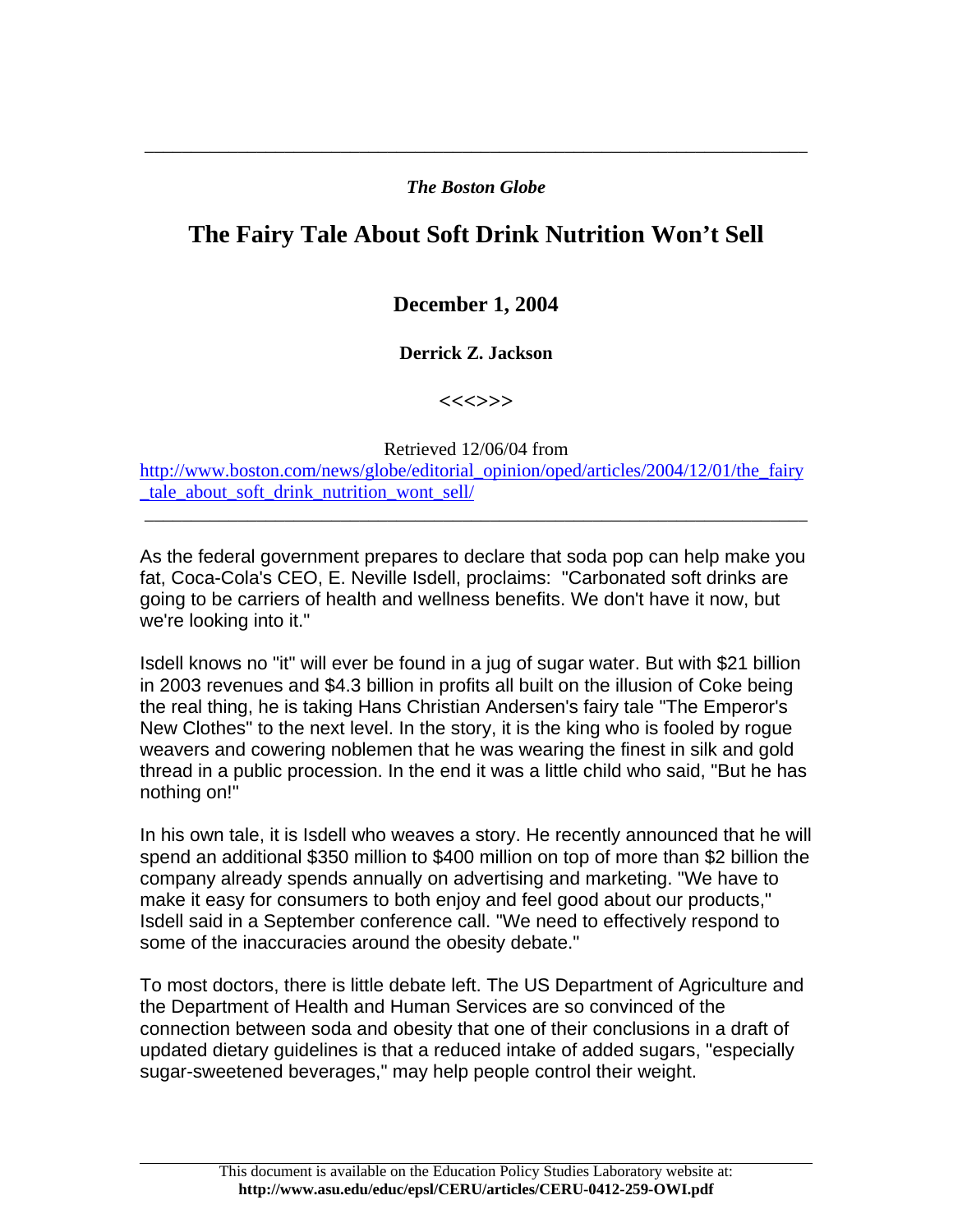## *The Boston Globe*

\_\_\_\_\_\_\_\_\_\_\_\_\_\_\_\_\_\_\_\_\_\_\_\_\_\_\_\_\_\_\_\_\_\_\_\_\_\_\_\_\_\_\_\_\_\_\_\_\_\_\_\_\_\_\_\_\_\_\_\_\_\_\_\_\_\_\_\_\_\_\_

## **The Fairy Tale About Soft Drink Nutrition Won't Sell**

## **December 1, 2004**

## **Derrick Z. Jackson**

**<<<>>>** 

Retrieved 12/06/04 from

[http://www.boston.com/news/globe/editorial\\_opinion/oped/articles/2004/12/01/the\\_fairy](http://www.boston.com/news/globe/editorial_opinion/oped/articles/2004/12/01/the_fairy_tale_about_soft_drink_nutrition_wont_sell/) tale about soft drink nutrition wont sell/

\_\_\_\_\_\_\_\_\_\_\_\_\_\_\_\_\_\_\_\_\_\_\_\_\_\_\_\_\_\_\_\_\_\_\_\_\_\_\_\_\_\_\_\_\_\_\_\_\_\_\_\_\_\_\_\_\_\_\_\_\_\_\_\_\_\_\_\_\_\_\_

As the federal government prepares to declare that soda pop can help make you fat, Coca-Cola's CEO, E. Neville Isdell, proclaims: "Carbonated soft drinks are going to be carriers of health and wellness benefits. We don't have it now, but we're looking into it."

Isdell knows no "it" will ever be found in a jug of sugar water. But with \$21 billion in 2003 revenues and \$4.3 billion in profits all built on the illusion of Coke being the real thing, he is taking Hans Christian Andersen's fairy tale "The Emperor's New Clothes" to the next level. In the story, it is the king who is fooled by rogue weavers and cowering noblemen that he was wearing the finest in silk and gold thread in a public procession. In the end it was a little child who said, "But he has nothing on!"

In his own tale, it is Isdell who weaves a story. He recently announced that he will spend an additional \$350 million to \$400 million on top of more than \$2 billion the company already spends annually on advertising and marketing. "We have to make it easy for consumers to both enjoy and feel good about our products," Isdell said in a September conference call. "We need to effectively respond to some of the inaccuracies around the obesity debate."

To most doctors, there is little debate left. The US Department of Agriculture and the Department of Health and Human Services are so convinced of the connection between soda and obesity that one of their conclusions in a draft of updated dietary guidelines is that a reduced intake of added sugars, "especially sugar-sweetened beverages," may help people control their weight.